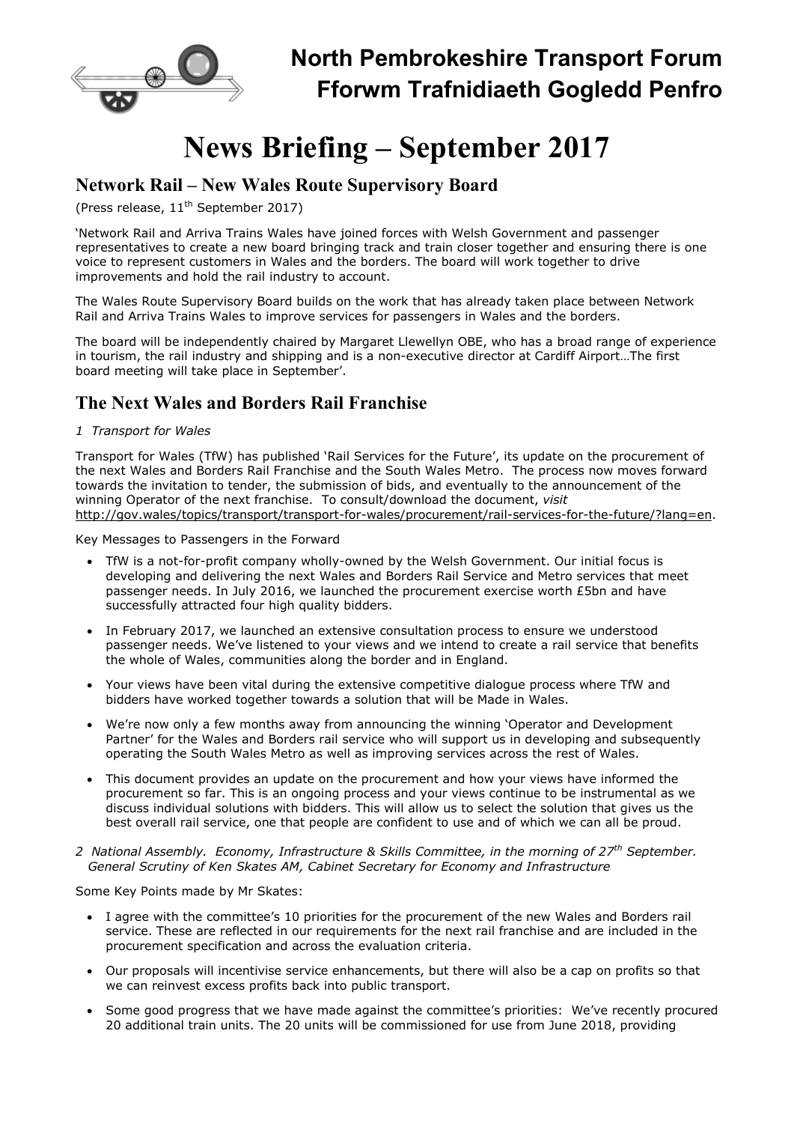

# News Briefing – September 2017

## Network Rail – New Wales Route Supervisory Board

(Press release,  $11<sup>th</sup>$  September 2017)

'Network Rail and Arriva Trains Wales have joined forces with Welsh Government and passenger representatives to create a new board bringing track and train closer together and ensuring there is one voice to represent customers in Wales and the borders. The board will work together to drive improvements and hold the rail industry to account.

The Wales Route Supervisory Board builds on the work that has already taken place between Network Rail and Arriva Trains Wales to improve services for passengers in Wales and the borders.

The board will be independently chaired by Margaret Llewellyn OBE, who has a broad range of experience in tourism, the rail industry and shipping and is a non-executive director at Cardiff Airport…The first board meeting will take place in September'.

# The Next Wales and Borders Rail Franchise

#### 1 Transport for Wales

Transport for Wales (TfW) has published 'Rail Services for the Future', its update on the procurement of the next Wales and Borders Rail Franchise and the South Wales Metro. The process now moves forward towards the invitation to tender, the submission of bids, and eventually to the announcement of the winning Operator of the next franchise. To consult/download the document, visit http://gov.wales/topics/transport/transport-for-wales/procurement/rail-services-for-the-future/?lang=en.

Key Messages to Passengers in the Forward

- TfW is a not-for-profit company wholly-owned by the Welsh Government. Our initial focus is developing and delivering the next Wales and Borders Rail Service and Metro services that meet passenger needs. In July 2016, we launched the procurement exercise worth £5bn and have successfully attracted four high quality bidders.
- In February 2017, we launched an extensive consultation process to ensure we understood passenger needs. We've listened to your views and we intend to create a rail service that benefits the whole of Wales, communities along the border and in England.
- Your views have been vital during the extensive competitive dialogue process where TfW and bidders have worked together towards a solution that will be Made in Wales.
- We're now only a few months away from announcing the winning 'Operator and Development Partner' for the Wales and Borders rail service who will support us in developing and subsequently operating the South Wales Metro as well as improving services across the rest of Wales.
- This document provides an update on the procurement and how your views have informed the procurement so far. This is an ongoing process and your views continue to be instrumental as we discuss individual solutions with bidders. This will allow us to select the solution that gives us the best overall rail service, one that people are confident to use and of which we can all be proud.
- 2 National Assembly. Economy, Infrastructure & Skills Committee, in the morning of 27<sup>th</sup> September. General Scrutiny of Ken Skates AM, Cabinet Secretary for Economy and Infrastructure

Some Key Points made by Mr Skates:

- I agree with the committee's 10 priorities for the procurement of the new Wales and Borders rail service. These are reflected in our requirements for the next rail franchise and are included in the procurement specification and across the evaluation criteria.
- Our proposals will incentivise service enhancements, but there will also be a cap on profits so that we can reinvest excess profits back into public transport.
- Some good progress that we have made against the committee's priorities: We've recently procured 20 additional train units. The 20 units will be commissioned for use from June 2018, providing